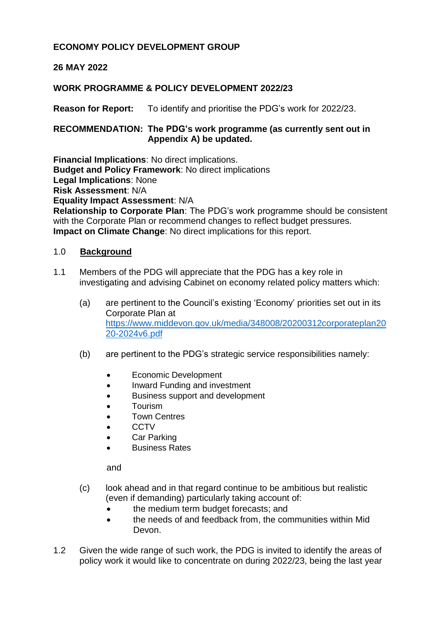# **ECONOMY POLICY DEVELOPMENT GROUP**

# **26 MAY 2022**

### **WORK PROGRAMME & POLICY DEVELOPMENT 2022/23**

**Reason for Report:** To identify and prioritise the PDG's work for 2022/23.

### **RECOMMENDATION: The PDG's work programme (as currently sent out in Appendix A) be updated.**

**Financial Implications**: No direct implications. **Budget and Policy Framework**: No direct implications **Legal Implications**: None **Risk Assessment**: N/A **Equality Impact Assessment**: N/A

**Relationship to Corporate Plan**: The PDG's work programme should be consistent with the Corporate Plan or recommend changes to reflect budget pressures. **Impact on Climate Change**: No direct implications for this report.

#### 1.0 **Background**

- 1.1 Members of the PDG will appreciate that the PDG has a key role in investigating and advising Cabinet on economy related policy matters which:
	- (a) are pertinent to the Council's existing 'Economy' priorities set out in its Corporate Plan at [https://www.middevon.gov.uk/media/348008/20200312corporateplan20](https://www.middevon.gov.uk/media/348008/20200312corporateplan2020-2024v6.pdf) [20-2024v6.pdf](https://www.middevon.gov.uk/media/348008/20200312corporateplan2020-2024v6.pdf)
	- (b) are pertinent to the PDG's strategic service responsibilities namely:
		- Economic Development
		- Inward Funding and investment
		- Business support and development
		- Tourism
		- Town Centres
		- **CCTV**
		- Car Parking
		- Business Rates

and

- (c) look ahead and in that regard continue to be ambitious but realistic (even if demanding) particularly taking account of:
	- the medium term budget forecasts; and
	- the needs of and feedback from, the communities within Mid Devon.
- 1.2 Given the wide range of such work, the PDG is invited to identify the areas of policy work it would like to concentrate on during 2022/23, being the last year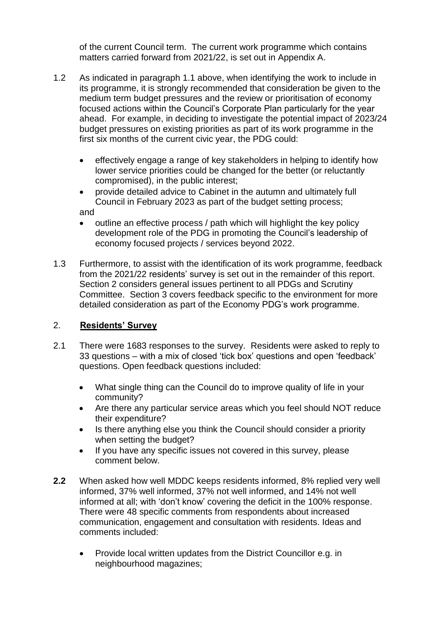of the current Council term. The current work programme which contains matters carried forward from 2021/22, is set out in Appendix A.

- 1.2 As indicated in paragraph 1.1 above, when identifying the work to include in its programme, it is strongly recommended that consideration be given to the medium term budget pressures and the review or prioritisation of economy focused actions within the Council's Corporate Plan particularly for the year ahead. For example, in deciding to investigate the potential impact of 2023/24 budget pressures on existing priorities as part of its work programme in the first six months of the current civic year, the PDG could:
	- effectively engage a range of key stakeholders in helping to identify how lower service priorities could be changed for the better (or reluctantly compromised), in the public interest;
	- provide detailed advice to Cabinet in the autumn and ultimately full Council in February 2023 as part of the budget setting process; and
	- outline an effective process / path which will highlight the key policy development role of the PDG in promoting the Council's leadership of economy focused projects / services beyond 2022.
- 1.3 Furthermore, to assist with the identification of its work programme, feedback from the 2021/22 residents' survey is set out in the remainder of this report. Section 2 considers general issues pertinent to all PDGs and Scrutiny Committee. Section 3 covers feedback specific to the environment for more detailed consideration as part of the Economy PDG's work programme.

# 2. **Residents' Survey**

- 2.1 There were 1683 responses to the survey. Residents were asked to reply to 33 questions – with a mix of closed 'tick box' questions and open 'feedback' questions. Open feedback questions included:
	- What single thing can the Council do to improve quality of life in your community?
	- Are there any particular service areas which you feel should NOT reduce their expenditure?
	- Is there anything else you think the Council should consider a priority when setting the budget?
	- If you have any specific issues not covered in this survey, please comment below.
- **2.2** When asked how well MDDC keeps residents informed, 8% replied very well informed, 37% well informed, 37% not well informed, and 14% not well informed at all; with 'don't know' covering the deficit in the 100% response. There were 48 specific comments from respondents about increased communication, engagement and consultation with residents. Ideas and comments included:
	- Provide local written updates from the District Councillor e.g. in neighbourhood magazines;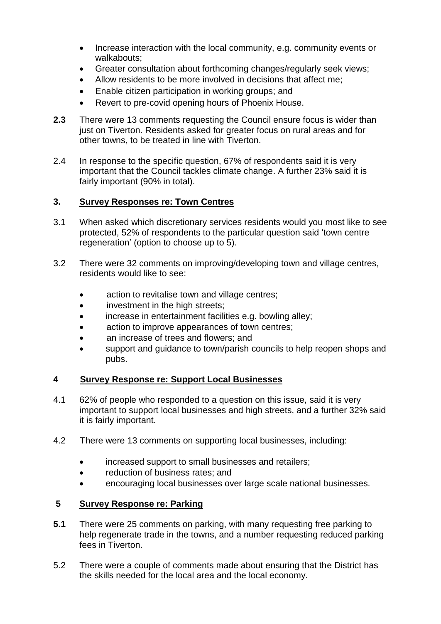- Increase interaction with the local community, e.g. community events or walkabouts;
- Greater consultation about forthcoming changes/regularly seek views;
- Allow residents to be more involved in decisions that affect me;
- Enable citizen participation in working groups; and
- Revert to pre-covid opening hours of Phoenix House.
- **2.3** There were 13 comments requesting the Council ensure focus is wider than just on Tiverton. Residents asked for greater focus on rural areas and for other towns, to be treated in line with Tiverton.
- 2.4 In response to the specific question, 67% of respondents said it is very important that the Council tackles climate change. A further 23% said it is fairly important (90% in total).

#### **3. Survey Responses re: Town Centres**

- 3.1 When asked which discretionary services residents would you most like to see protected, 52% of respondents to the particular question said 'town centre regeneration' (option to choose up to 5).
- 3.2 There were 32 comments on improving/developing town and village centres, residents would like to see:
	- action to revitalise town and village centres;
	- investment in the high streets;
	- increase in entertainment facilities e.g. bowling alley;
	- action to improve appearances of town centres;
	- an increase of trees and flowers; and
	- support and guidance to town/parish councils to help reopen shops and pubs.

#### **4 Survey Response re: Support Local Businesses**

- 4.1 62% of people who responded to a question on this issue, said it is very important to support local businesses and high streets, and a further 32% said it is fairly important.
- 4.2 There were 13 comments on supporting local businesses, including:
	- increased support to small businesses and retailers;
	- reduction of business rates; and
	- encouraging local businesses over large scale national businesses.

#### **5 Survey Response re: Parking**

- **5.1** There were 25 comments on parking, with many requesting free parking to help regenerate trade in the towns, and a number requesting reduced parking fees in Tiverton.
- 5.2 There were a couple of comments made about ensuring that the District has the skills needed for the local area and the local economy.